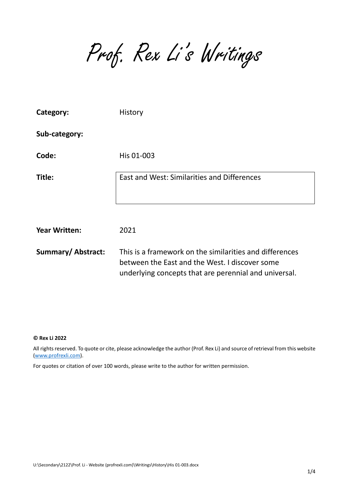Prof. Rex Li's Writings

| Category:                 | History                                                                                                                                                            |
|---------------------------|--------------------------------------------------------------------------------------------------------------------------------------------------------------------|
| Sub-category:             |                                                                                                                                                                    |
| Code:                     | His 01-003                                                                                                                                                         |
| Title:                    | East and West: Similarities and Differences                                                                                                                        |
| <b>Year Written:</b>      | 2021                                                                                                                                                               |
| <b>Summary/ Abstract:</b> | This is a framework on the similarities and differences<br>between the East and the West. I discover some<br>underlying concepts that are perennial and universal. |

## **© Rex Li 2022**

All rights reserved. To quote or cite, please acknowledge the author (Prof. Rex Li) and source of retrieval from this website [\(www.profrexli.com\)](http://www.profrexli.com/).

For quotes or citation of over 100 words, please write to the author for written permission.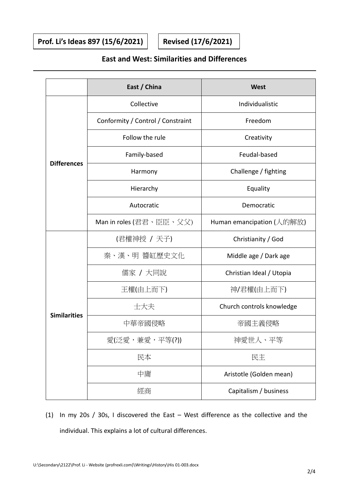**Prof. Li's Ideas 897 (15/6/2021) Revised (17/6/2021)**

## **East and West: Similarities and Differences**

|                     | East / China                      | <b>West</b>               |  |
|---------------------|-----------------------------------|---------------------------|--|
| <b>Differences</b>  | Collective                        | Individualistic           |  |
|                     | Conformity / Control / Constraint | Freedom                   |  |
|                     | Follow the rule                   | Creativity                |  |
|                     | Family-based                      | Feudal-based              |  |
|                     | Harmony                           | Challenge / fighting      |  |
|                     | Hierarchy                         | Equality                  |  |
|                     | Autocratic                        | Democratic                |  |
|                     | Man in roles (君君、臣臣、父父)           | Human emancipation (人的解放) |  |
| <b>Similarities</b> | (君權神授 / 天子)                       | Christianity / God        |  |
|                     | 秦、漢、明 醬缸歷史文化                      | Middle age / Dark age     |  |
|                     | 儒家 / 大同說                          | Christian Ideal / Utopia  |  |
|                     | 王權(由上而下)                          | 神/君權(由上而下)                |  |
|                     | 士大夫                               | Church controls knowledge |  |
|                     | 中華帝國侵略                            | 帝國主義侵略                    |  |
|                     | 愛(泛愛,兼愛,平等(?))                    | 神愛世人、平等                   |  |
|                     | 民本                                | 民主                        |  |
|                     | 中庸                                | Aristotle (Golden mean)   |  |
|                     | 經商                                | Capitalism / business     |  |

(1) In my 20s / 30s, I discovered the East – West difference as the collective and the individual. This explains a lot of cultural differences.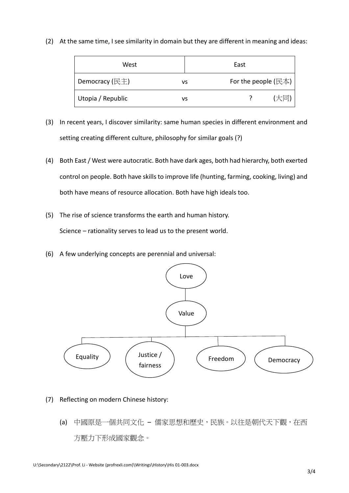(2) At the same time, I see similarity in domain but they are different in meaning and ideas:

| West              | East |                        |     |
|-------------------|------|------------------------|-----|
| Democracy (民主)    | ٧S   | For the people $(E_4)$ |     |
| Utopia / Republic | vs   |                        | 【大同 |

- (3) In recent years, I discover similarity: same human species in different environment and setting creating different culture, philosophy for similar goals (?)
- (4) Both East / West were autocratic. Both have dark ages, both had hierarchy, both exerted control on people. Both have skills to improve life (hunting, farming, cooking, living) and both have means of resource allocation. Both have high ideals too.
- (5) The rise of science transforms the earth and human history. Science – rationality serves to lead us to the present world.
- (6) A few underlying concepts are perennial and universal:



- (7) Reflecting on modern Chinese history:
	- (a) 中國原是一個共同文化 儒家思想和歷史,民族。以往是朝代天下觀,在西 方壓力下形成國家觀念。